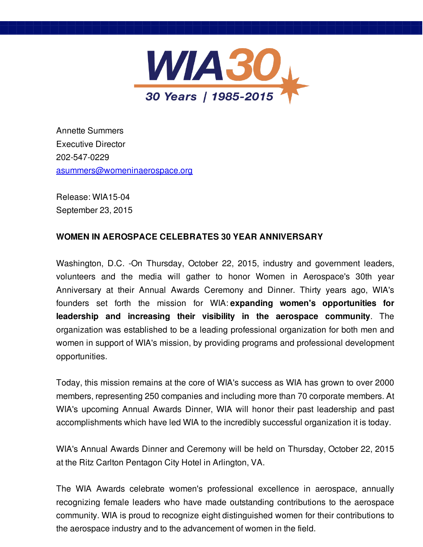

Annette Summers Executive Director 202-547-0229 [asummers@womeninaerospace.org](mailto:asummers@womeninaerospace.org)

Release: WIA15-04 September 23, 2015

## **WOMEN IN AEROSPACE CELEBRATES 30 YEAR ANNIVERSARY**

Washington, D.C. -On Thursday, October 22, 2015, industry and government leaders, volunteers and the media will gather to honor Women in Aerospace's 30th year Anniversary at their Annual Awards Ceremony and Dinner. Thirty years ago, WIA's founders set forth the mission for WIA: **expanding women's opportunities for leadership and increasing their visibility in the aerospace community**. The organization was established to be a leading professional organization for both men and women in support of WIA's mission, by providing programs and professional development opportunities.

Today, this mission remains at the core of WIA's success as WIA has grown to over 2000 members, representing 250 companies and including more than 70 corporate members. At WIA's upcoming Annual Awards Dinner, WIA will honor their past leadership and past accomplishments which have led WIA to the incredibly successful organization it is today.

WIA's Annual Awards Dinner and Ceremony will be held on Thursday, October 22, 2015 at the Ritz Carlton Pentagon City Hotel in Arlington, VA.

The WIA Awards celebrate women's professional excellence in aerospace, annually recognizing female leaders who have made outstanding contributions to the aerospace community. WIA is proud to recognize eight distinguished women for their contributions to the aerospace industry and to the advancement of women in the field.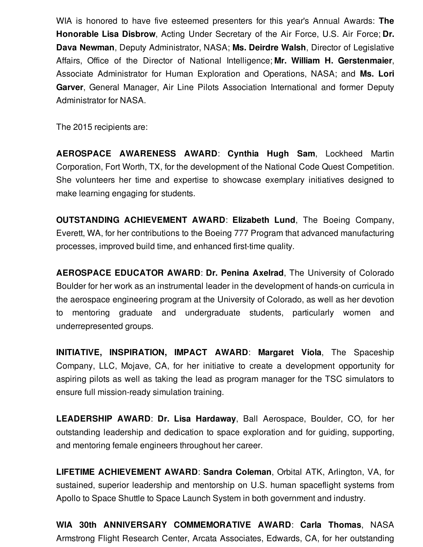WIA is honored to have five esteemed presenters for this year's Annual Awards: **The Honorable Lisa Disbrow**, Acting Under Secretary of the Air Force, U.S. Air Force; **Dr. Dava Newman**, Deputy Administrator, NASA; **Ms. Deirdre Walsh**, Director of Legislative Affairs, Office of the Director of National Intelligence; **Mr. William H. Gerstenmaier**, Associate Administrator for Human Exploration and Operations, NASA; and **Ms. Lori Garver**, General Manager, Air Line Pilots Association International and former Deputy Administrator for NASA.

The 2015 recipients are:

**AEROSPACE AWARENESS AWARD**: **Cynthia Hugh Sam**, Lockheed Martin Corporation, Fort Worth, TX, for the development of the National Code Quest Competition. She volunteers her time and expertise to showcase exemplary initiatives designed to make learning engaging for students.

**OUTSTANDING ACHIEVEMENT AWARD**: **Elizabeth Lund**, The Boeing Company, Everett, WA, for her contributions to the Boeing 777 Program that advanced manufacturing processes, improved build time, and enhanced first-time quality.

**AEROSPACE EDUCATOR AWARD**: **Dr. Penina Axelrad**, The University of Colorado Boulder for her work as an instrumental leader in the development of hands-on curricula in the aerospace engineering program at the University of Colorado, as well as her devotion to mentoring graduate and undergraduate students, particularly women and underrepresented groups.

**INITIATIVE, INSPIRATION, IMPACT AWARD**: **Margaret Viola**, The Spaceship Company, LLC, Mojave, CA, for her initiative to create a development opportunity for aspiring pilots as well as taking the lead as program manager for the TSC simulators to ensure full mission-ready simulation training.

**LEADERSHIP AWARD**: **Dr. Lisa Hardaway**, Ball Aerospace, Boulder, CO, for her outstanding leadership and dedication to space exploration and for guiding, supporting, and mentoring female engineers throughout her career.

**LIFETIME ACHIEVEMENT AWARD**: **Sandra Coleman**, Orbital ATK, Arlington, VA, for sustained, superior leadership and mentorship on U.S. human spaceflight systems from Apollo to Space Shuttle to Space Launch System in both government and industry.

**WIA 30th ANNIVERSARY COMMEMORATIVE AWARD**: **Carla Thomas**, NASA Armstrong Flight Research Center, Arcata Associates, Edwards, CA, for her outstanding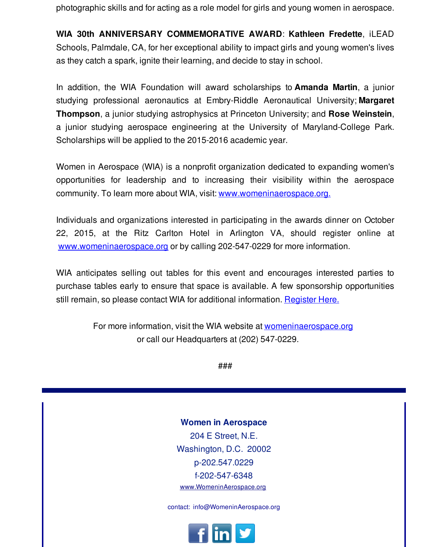photographic skills and for acting as a role model for girls and young women in aerospace.

**WIA 30th ANNIVERSARY COMMEMORATIVE AWARD**: **Kathleen Fredette**, iLEAD Schools, Palmdale, CA, for her exceptional ability to impact girls and young women's lives as they catch a spark, ignite their learning, and decide to stay in school.

In addition, the WIA Foundation will award scholarships to **Amanda Martin**, a junior studying professional aeronautics at Embry-Riddle Aeronautical University; **Margaret Thompson**, a junior studying astrophysics at Princeton University; and **Rose Weinstein**, a junior studying aerospace engineering at the University of Maryland-College Park. Scholarships will be applied to the 2015-2016 academic year.

Women in Aerospace (WIA) is a nonprofit organization dedicated to expanding women's opportunities for leadership and to increasing their visibility within the aerospace community. To learn more about WIA, visit: [www.womeninaerospace.org.](http://r20.rs6.net/tn.jsp?f=001y1ltD-1ldJDzDiVwNHG-Es5HooYJqU2RTJRjSvwn_LiyjeQXwVNZuO-33pIPuNQhZYrmC9Jjq0sRm92PplCb44_3uxDXa-S1-ZCher71C4qaWdTk9P2A1-qtkkBdsF__9gJq-gNnDkoaCQjUdYNc-glnZbEgZymBYvKy0MFD3vgxotEXhbF3bQ==&c=&ch=)

Individuals and organizations interested in participating in the awards dinner on October 22, 2015, at the Ritz Carlton Hotel in Arlington VA, should register online at [www.womeninaerospace.org](http://r20.rs6.net/tn.jsp?f=001y1ltD-1ldJDzDiVwNHG-Es5HooYJqU2RTJRjSvwn_LiyjeQXwVNZuO-33pIPuNQhZYrmC9Jjq0sRm92PplCb44_3uxDXa-S1-ZCher71C4qaWdTk9P2A1-qtkkBdsF__9gJq-gNnDkoaCQjUdYNc-glnZbEgZymBYvKy0MFD3vgxotEXhbF3bQ==&c=&ch=) or by calling 202-547-0229 for more information.

WIA anticipates selling out tables for this event and encourages interested parties to purchase tables early to ensure that space is available. A few sponsorship opportunities still remain, so please contact WIA for additional information. [Register](http://r20.rs6.net/tn.jsp?f=001y1ltD-1ldJDzDiVwNHG-Es5HooYJqU2RTJRjSvwn_LiyjeQXwVNZuC9Qzr_wZevYhsakdNYR_kYfO7EO3Mwku9PWpPzcgXiUftjBsD3KIs2dsWiOWz2wZ9ks8FJKyra5UoUHGKzt51xU3n4UjIPwM86TP7T369LPbqbSrRsi5wJvTcPBHiCNsCaD5Z2Yceq1khTUlCgYxx6aj9WUnZdAgg==&c=&ch=) Here.

> For more information, visit the WIA website at [womeninaerospace.org](http://r20.rs6.net/tn.jsp?f=001y1ltD-1ldJDzDiVwNHG-Es5HooYJqU2RTJRjSvwn_LiyjeQXwVNZuO-33pIPuNQhZYrmC9Jjq0sRm92PplCb44_3uxDXa-S1-ZCher71C4qaWdTk9P2A1-qtkkBdsF__9gJq-gNnDkoaCQjUdYNc-glnZbEgZymBYvKy0MFD3vgxotEXhbF3bQ==&c=&ch=) or call our Headquarters at (202) 547-0229.

> > ###

**Women in Aerospace** 204 E Street, N.E. Washington, D.C. 20002 p-202.547.0229 f-202-547-6348 [www.WomeninAerospace.org](http://r20.rs6.net/tn.jsp?f=001y1ltD-1ldJDzDiVwNHG-Es5HooYJqU2RTJRjSvwn_LiyjeQXwVNZuMyEalQ5fc0YRZujiVyzSYZ2QldhPJXa1mfdWcDVuQFhT5GtK9infYsVo8-JPS8LQV3G_4KO0Pz6m9hgrCMrZhPs6rghDMEE01vstAO9hcUuSc3tqqni-COKBNDHzAuLng==&c=&ch=)

contact: info@WomeninAerospace.org